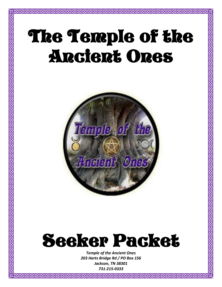# The Temple of the Ancient Ones

 $\overline{\text{Z}}$ 



# Seeker Packet

*Temple of the Ancient Ones 203 Harts Bridge Rd / PO Box 156 Jackson, TN 38301 731-215-0333*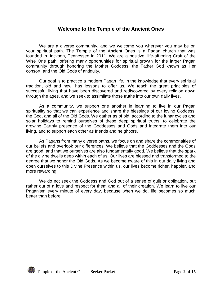# **Welcome to the Temple of the Ancient Ones**

We are a diverse community, and we welcome you wherever you may be on your spiritual path. The Temple of the Ancient Ones is a Pagan church that was founded in Jackson, Tennessee in 2011. We are a positive, life-affirming Craft of the Wise One path, offering many opportunities for spiritual growth for the larger Pagan community through honoring the Mother Goddess, the Father God known as Her consort, and the Old Gods of antiquity.

Our goal is to practice a modern Pagan life, in the knowledge that every spiritual tradition, old and new, has lessons to offer us. We teach the great principles of successful living that have been discovered and rediscovered by every religion down through the ages, and we seek to assimilate those truths into our own daily lives.

As a community, we support one another in learning to live in our Pagan spirituality so that we can experience and share the blessings of our loving Goddess, the God, and all of the Old Gods. We gather as of old, according to the lunar cycles and solar holidays to remind ourselves of these deep spiritual truths, to celebrate the growing Earthly presence of the Goddesses and Gods and integrate them into our living, and to support each other as friends and neighbors.

As Pagans from many diverse paths, we focus on and share the commonalties of our beliefs and overlook our differences. We believe that the Goddesses and the Gods are good, and that we ourselves are also fundamentally good. We believe that the spark of the divine dwells deep within each of us. Our lives are blessed and transformed to the degree that we honor the Old Gods. As we become aware of this in our daily living and open ourselves to this Divine Presence within us, our lives become richer, happier, and more rewarding.

We do not seek the Goddess and God out of a sense of guilt or obligation, but rather out of a love and respect for them and all of their creation. We learn to live our Paganism every minute of every day, because when we do, life becomes so much better than before.

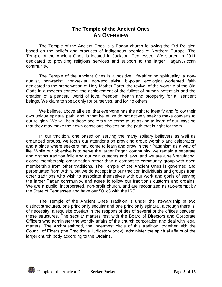# **The Temple of the Ancient Ones AN OVERVIEW**

The Temple of the Ancient Ones is a Pagan church following the Old Religion based on the beliefs and practices of indigenous peoples of Northern Europe. The Temple of the Ancient Ones is located in Jackson, Tennessee. We started in 2011 dedicated to providing religious services and support to the larger Pagan/Wiccan community.

The Temple of the Ancient Ones is a positive, life-affirming spirituality, a nondualist, non-racist, non-sexist, non-exclusivist, bi-polar, ecologically-oriented faith dedicated to the preservation of Holy Mother Earth, the revival of the worship of the Old Gods in a modern context, the achievement of the fullest of human potentials and the creation of a peaceful world of love, freedom, health and prosperity for all sentient beings. We claim to speak only for ourselves, and for no others.

We believe, above all else, that everyone has the right to identify and follow their own unique spiritual path, and in that belief we do not actively seek to make converts to our religion. We will help those seekers who come to us asking to learn of our ways so that they may make their own conscious choices on the path that is right for them.

In our tradition, one based on serving the many solitary believers as well as organized groups, we focus our attentions on providing group worship and celebration and a place where seekers may come to learn and grow in their Paganism as a way of life. While our objective is to serve the larger Pagan community, we remain a separate and distinct tradition following our own customs and laws, and we are a self-regulating, closed membership organization rather than a composite community group with open membership from other traditions. The Temple of the Ancient Ones is governed and perpetuated from within, but we do accept into our tradition individuals and groups from other traditions who wish to associate themselves with our work and goals of serving the larger Pagan community, and agree to follow our tradition's customs and ordains. We are a public, incorporated, non-profit church, and are recognized as tax-exempt by the State of Tennessee and have our 501c3 with the IRS.

The Temple of the Ancient Ones Tradition is under the stewardship of two distinct structures, one principally secular and one principally spiritual, although there is, of necessity, a requisite overlap in the responsibilities of several of the offices between these structures. The secular matters rest with the Board of Directors and Corporate Officers who administer the worldly affairs of the church corporation and deal with legal matters. The Archpriesthood, the innermost circle of this tradition, together with the Council of Elders (the Tradition's Judicatory body), administer the spiritual affairs of the larger church body according to the Ordains.



.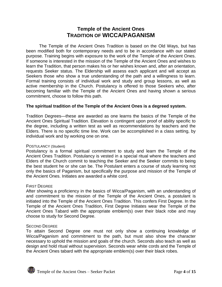# **Temple of the Ancient Ones TRADITION OF WICCA/PAGANISM**

The Temple of the Ancient Ones Tradition is based on the Old Ways, but has been modified both for contemporary needs and to be in accordance with our stated purpose. Training begins with exposure to the work of the Temple of the Ancient Ones. If someone is interested in the mission of the Temple of the Ancient Ones and wishes to learn the Tradition, that person makes his or her wishes known and, after an orientation, requests Seeker status. The Eldership will assess each applicant and will accept as Seekers those who show a true understanding of the path and a willingness to learn. Formal training consists of individual work and study and group lessons, as well as active membership in the Church. Postulancy is offered to those Seekers who, after becoming familiar with the Temple of the Ancient Ones and having shown a serious commitment, choose to follow this path.

# **The spiritual tradition of the Temple of the Ancient Ones is a degreed system.**

Tradition Degrees—these are awarded as one learns the basics of the Temple of the Ancient Ones Spiritual Tradition. Elevation is contingent upon proof of ability specific to the degree, including a written test as well as recommendations by teachers and the Elders. There is no specific time line. Work can be accomplished in a class setting, by individual work and by working one on one.

# POSTULANCY (Student)

Postulancy is a formal spiritual commitment to study and learn the Temple of the Ancient Ones Tradition. Postulancy is vested in a special ritual where the teachers and Elders of the Church commit to teaching the Seeker and the Seeker commits to being the best student he or she can be. The Postulant enters a course of study learning not only the basics of Paganism, but specifically the purpose and mission of the Temple of the Ancient Ones. Initiates are awarded a white cord.

# FIRST DEGREE

After showing a proficiency in the basics of Wicca/Paganism, with an understanding of and commitment to the mission of the Temple of the Ancient Ones, a postulant is initiated into the Temple of the Ancient Ones Tradition. This confers First Degree. In the Temple of the Ancient Ones Tradition, First Degree Initiates wear the Temple of the Ancient Ones Tabard with the appropriate emblem(s) over their black robe and may choose to study for Second Degree.

# SECOND DEGREE

To attain Second Degree one must not only show a continuing knowledge of Wicca/Paganism and commitment to the path, but must also show the character necessary to uphold the mission and goals of the church. Seconds also teach as well as design and hold ritual without supervision. Seconds wear white cords and the Temple of the Ancient Ones tabard with the appropriate emblem(s) over their black robes.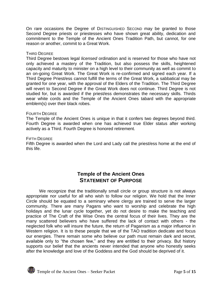On rare occasions the Degree of DISTINGUISHED SECOND may be granted to those Second Degree priests or priestesses who have shown great ability, dedication and commitment to the Temple of the Ancient Ones Tradition Path, but cannot, for one reason or another, commit to a Great Work.

## THIRD DEGREE

Third Degree bestows legal *licensed* ordination and is reserved for those who have not only achieved a mastery of the Tradition, but also possess the skills, heightened capacity and maturity to minister on a high level to their community as well as commit to an on-going Great Work. The Great Work is re-confirmed and signed each year. If a Third Degree Priest/ess cannot fulfill the terms of the Great Work, a sabbatical may be granted for one year, with the approval of the Elders of the Tradition. The Third Degree will revert to Second Degree if the Great Work does not continue. Third Degree is not studied for, but is awarded if the priest/ess demonstrates the necessary skills. Thirds wear white cords and the Temple of the Ancient Ones tabard with the appropriate emblem(s) over their black robes.

### FOURTH DEGREE

The Temple of the Ancient Ones is unique in that it confers two degrees beyond third. Fourth Degree is awarded when one has achieved true Elder status after working actively as a Third. Fourth Degree is honored retirement.

### FIFTH DEGREE

Fifth Degree is awarded when the Lord and Lady call the priest/ess home at the end of this life.

# **Temple of the Ancient Ones STATEMENT OF PURPOSE**

We recognize that the traditionally small circle or group structure is not always appropriate nor useful for all who wish to follow our religion. We hold that the Inner Circle should be equated to a seminary where clergy are trained to serve the larger community. There are many Pagans who want to worship and celebrate the high holidays and the lunar cycle together, yet do not desire to make the teaching and practice of The Craft of the Wise Ones the central focus of their lives. They are the many scattered believers who have suffered the lack of contact with others - the neglected folk who will insure the future, the return of Paganism as a major influence in Western religion. It is to these people that we of the TAO tradition dedicate and focus our energies. There remain some who believe our path must remain dark and secret, available only to "the chosen few," and they are entitled to their privacy. But history supports our belief that the ancients never intended that anyone who honestly seeks after the knowledge and love of the Goddess and the God should be deprived of it.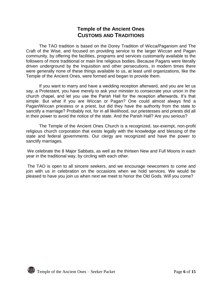# **Temple of the Ancient Ones CUSTOMS AND TRADITIONS**

The TAO tradition is based on the Dorey Tradition of Wicca/Paganism and The Craft of the Wise, and focused on providing service to the larger Wiccan and Pagan community, by offering the facilities, programs and services customarily available to the followers of more traditional or main line religious bodies. Because Pagans were literally driven underground by the Inquisition and other persecutions, in modern times there were generally none of these things available to us, at least until organizations, like the Temple of the Ancient Ones, were formed and began to provide them.

If you want to marry and have a wedding reception afterward, and you are let us say, a Protestant, you have merely to ask your minister to consecrate your union in the church chapel, and let you use the Parish Hall for the reception afterwards. It's that simple. But what if you are Wiccan or Pagan? One could almost always find a Pagan/Wiccan priestess or a priest, but did they have the authority from the state to sanctify a marriage? Probably not, for in all likelihood, our priestesses and priests did all in their power to avoid the notice of the state. And the Parish Hall? Are you serious?

The Temple of the Ancient Ones Church is a recognized, tax-exempt, non-profit religious church corporation that exists legally with the knowledge and blessing of the state and federal governments. Our clergy are recognized and have the power to sanctify marriages.

We celebrate the 8 Major Sabbats, as well as the thirteen New and Full Moons in each year in the traditional way, by circling with each other.

The TAO is open to all sincere seekers, and we encourage newcomers to come and join with us in celebration on the occasions when we hold services. We would be pleased to have you join us when next we meet to honor the Old Gods. Will you come?

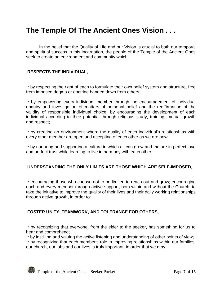# **The Temple Of The Ancient Ones Vision . . .**

In the belief that the Quality of Life and our Vision is crucial to both our temporal and spiritual success in this incarnation, the people of the Temple of the Ancient Ones seek to create an environment and community which:

# **RESPECTS THE INDIVIDUAL,**

\* by respecting the right of each to formulate their own belief system and structure, free from imposed dogma or doctrine handed down from others;

\* by empowering every individual member through the encouragement of individual enquiry and investigation of matters of personal belief and the reaffirmation of the validity of responsible individual choice; by encouraging the development of each individual according to their potential through religious study, training, mutual growth and respect;

\* by creating an environment where the quality of each individual's relationships with every other member are open and accepting of each other as we are now;

\* by nurturing and supporting a culture in which all can grow and mature in perfect love and perfect trust while learning to live in harmony with each other;

# **UNDERSTANDING THE ONLY LIMITS ARE THOSE WHICH ARE SELF-IMPOSED,**

\* encouraging those who choose not to be limited to reach out and grow; encouraging each and every member through active support, both within and without the Church, to take the initiative to improve the quality of their lives and their daily working relationships through active growth, in order to:

# **FOSTER UNITY, TEAMWORK, AND TOLERANCE FOR OTHERS,**

\* by recognizing that everyone, from the elder to the seeker, has something for us to hear and comprehend;

\* by instilling and valuing the active listening and understanding of other points of view;

\* by recognizing that each member's role in improving relationships within our families, our church, our jobs and our lives is truly important, in order that we may:

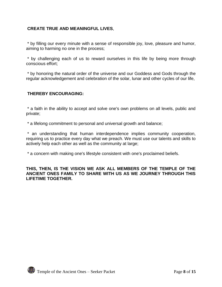# **CREATE TRUE AND MEANINGFUL LIVES**,

\* by filling our every minute with a sense of responsible joy, love, pleasure and humor, aiming to harming no one in the process;

\* by challenging each of us to reward ourselves in this life by being more through conscious effort;

\* by honoring the natural order of the universe and our Goddess and Gods through the regular acknowledgement and celebration of the solar, lunar and other cycles of our life,

# **THEREBY ENCOURAGING:**

\* a faith in the ability to accept and solve one's own problems on all levels, public and private;

\* a lifelong commitment to personal and universal growth and balance;

\* an understanding that human interdependence implies community cooperation, requiring us to practice every day what we preach. We must use our talents and skills to actively help each other as well as the community at large;

\* a concern with making one's lifestyle consistent with one's proclaimed beliefs.

## **THIS, THEN, IS THE VISION WE ASK ALL MEMBERS OF THE TEMPLE OF THE ANCIENT ONES FAMILY TO SHARE WITH US AS WE JOURNEY THROUGH THIS LIFETIME TOGETHER.**

Temple of the Ancient Ones – Seeker Packet Packet Page 8 of 15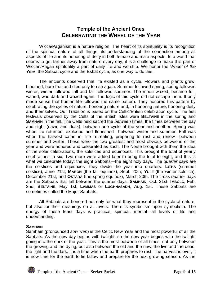# **Temple of the Ancient Ones CELEBRATING THE WHEEL OF THE YEAR**

Wicca/Paganism is a nature religion. The heart of its spirituality is its recognition of the spiritual nature of all things, its understanding of the connection among all aspects of life and its honoring of deity in both female and male aspects. In a world that seems to get farther away from nature every day, it is a challenge to make this part of Wiccan/Pagan spirituality a part of daily life and worship. We honor the *Wheel of the Year*, the Sabbat cycle and the Esbat cycle, as one way to do this.

The ancients observed that life existed as a cycle. Flowers and plants grew, bloomed, bore fruit and died only to rise again. Summer followed spring, spring followed winter, winter followed fall and fall followed summer. The moon waxed, became full, waned, was dark and waxed again. The logic of this cycle did not escape them. It only made sense that human life followed the same pattern. They honored this pattern by celebrating the cycles of nature, honoring nature and, in honoring nature, honoring deity and themselves. Our Tradition is based on the Celtic/British celebration cycle. The first festivals observed by the Celts of the British Isles were **BELTAINE** in the spring and **SAMHAIN** in the fall. The Celts held sacred the *between* times, the times between the day and night (dawn and dusk), between one cycle of the year and another. Spring was when life returned, exploded and flourished—between winter and summer. Fall was when the harvest came in, life retreating, preparing to rest and renew—between summer and winter. These were the two greatest and most obvious betweens of the year and were honored and celebrated as such. The Norse brought with them the idea of the solar celebrations, the solstices and equinoxes. This brought the total of yearly celebrations to six. Two more were added later to bring the total to eight, and this is what we celebrate today: the eight Sabbats—the eight holy days. The *quarter days* are the solstices and equinoxes—they divide the year into quarters: **LITHA** (summer solstice), June 21st; **MABON** (the fall equinox), Sept. 20th; **YULE** (the winter solstice), December 21st; and **OSTARA** (the spring equinox), March 20th. The *cross-quarter days* are the Sabbats that fall between the quarter days: **SAMHAIN**, Oct. 31st; **IMBOLC**, Feb. 2nd; **BELTAINE**, May 1st; **LAMMAS** or **LUGHNASADH**, Aug. 1st. These Sabbats are sometimes called the Major Sabbats.

All Sabbats are honored not only for what they represent in the cycle of nature, but also for their meanings on all levels. There is symbolism upon symbolism. The energy of these feast days is practical, spiritual, mental—all levels of life and understanding.

# **SAMHAIN**

Samhain (pronounced *sow wen*) is the Celtic New Year and the most powerful of all the Sabbats. As the new day begins with twilight, so the new year begins with the twilight going into the dark of the year. This is the most between of all times, not only between the growing and the dying, but also between the old and the new, the live and the dead, the light and the dark. It is a time when the earth prepares to rest. The harvest is over, it is now time for the earth to lie fallow and prepare for the next growing season. As the

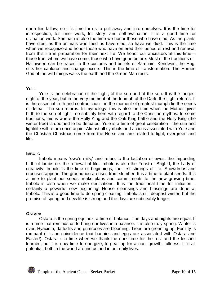earth lies fallow, so it is time for us to pull away and into ourselves. It is the time for introspection, for inner work, for story- and self-evaluation. It is a good time for divination work. Samhain is also the time we honor those who have died. As the plants have died, as the animals who feed us have died, so have we died. This is the time when we recognize and honor those who have entered their period of rest and renewal from this life in preparation for their next life. We honor our ancestors at this time those from whom we have come, those who have gone before. Most of the traditions of Halloween can be traced to the customs and beliefs of Samhain. Keridwen, the Hag, stirs her cauldron and change occurs. This is the time of transformation. The Horned God of the wild things walks the earth and the Green Man rests.

## **YULE**

Yule is the celebration of the Light, of the sun and of the son. It is the longest night of the year, but in the very moment of the triumph of the Dark, the Light returns. It is the essential truth and contradiction—in the moment of greatest triumph lie the seeds of defeat. The sun returns. In mythology, this is also the time when the Mother gives birth to the son of light—no subtlety here with regard to the Christian mythos. In some traditions, this is where the Holly King and the Oak King battle and the Holly King (the winter tree) is doomed to be defeated. Yule is a time of great celebration—the sun and light/life will return once again! Almost all symbols and actions associated with Yule and the Christian Christmas come from the Norse and are related to light, evergreen and life.

### I**MBOLC**

Imbolc means "ewe's milk," and refers to the lactation of ewes, the impending birth of lambs i.e. the renewal of life. Imbolc is also the Feast of Brighid, the Lady of creativity. Imbolc is the time of beginnings, the first stirrings of life. Snowdrops and crocuses appear. The groundhog arouses from slumber. It is a time to plant seeds. It is a time to plant our seeds, make plans and commitments to the new growing time. Imbolc is also when we make dedications. It is the traditional time for initiation certainly a powerful new beginning! House cleansings and blessings are done at Imbolc. This is a good time to do spring cleaning. Imbolc is still deepest winter, but the promise of spring and new life is strong and the days are noticeably longer.

# **OSTARA**

Ostara is the spring equinox, a time of balance. The days and nights are equal. It is a time that reminds us to bring our lives into balance. It is also truly spring. Winter is over. Hyacinth, daffodils and primroses are blooming. Trees are greening up. Fertility is rampant (it is no coincidence that bunnies and eggs are associated with Ostara and Easter!). Ostara is a time when we thank the dark time for the rest and the lessons learned, but it is now time to energize, to gear up for action, growth, fullness. It is all potential, both in the world around us and in our daily lives.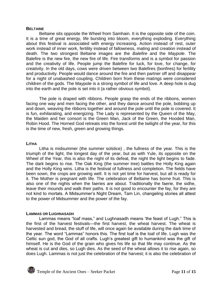#### **BELTAINE**

Beltaine sits opposite the Wheel from Samhain. It is the opposite side of the coin. It is a time of great energy, life bursting into bloom, everything exploding. Everything about this festival is associated with energy increasing. Action instead of rest, outer work instead of inner work, fertility instead of fallowness, mating and creation instead of death. The two strongest Beltaine images are the *Balefire* and the *Maypole*. The Balefire is the new fire, the new fire of life. Fire transforms and is a symbol for passion and the creativity of life. People jump the Balefire for luck, for love, for change, for creativity. In the old days, cows were driven between two Balefires (bonfires) for fertility and productivity. People would dance around the fire and then partner off and disappear for a night of unabashed coupling. Children born from these matings were considered children of the gods. The Maypole is a strong symbol of life and love. A deep hole is dug into the earth and the pole is set into it (a rather obvious symbol).

The pole is draped with ribbons. People grasp the ends of the ribbons, women facing one way and men facing the other, and they dance around the pole, bobbing up and down, weaving the ribbons together and around the pole until the pole is covered. It is fun, exhilarating, and energizing. The Lady is represented by the Queen of the May, the Maiden and her consort is the Green Man, Jack of the Green, the Hooded Man, Robin Hood. The Horned God retreats into the forest until the twilight of the year, for this is the time of new, fresh, green and growing things.

### **LITHA**

Litha is midsummer (the summer solstice) , the fullness of the year. This is the triumph of the light, the longest day of the year, but as with Yule, its opposite on the Wheel of the Year, this is also the night of its defeat, the night the light begins to fade. The dark begins to rise. The Oak King (the summer tree) battles the Holly King again and the Holly King wins. Litha is the festival of fullness and completion. The fields have been sown, the crops are growing well. It is not yet time for harvest, but all is ready for it. The Mother is pregnant with life. The celebration of Beltaine has borne fruit. This is also one of the nights when the faeries are about. Traditionally the faerie, the sidhe, leave their mounds and walk their paths. It is not good to encounter the fay, for they are not kind to mortals. A Midsummer's Night Dream, Tam Lin, changeling stories all attest to the power of Midsummer and the power of the fay.

### **LAMMAS OR LUGHNASADH**

Lammas means "loaf mass," and Lughnasadh means 'the feast of Lugh." This is the first of the harvest festivals—the first harvest, the wheat harvest. The wheat is harvested and bread, the stuff of life, will once again be available during the dark time of the year. The word "Lammas" honors this. The first loaf is the loaf of life. Lugh was the Celtic sun god, the God of all crafts. Lugh's greatest gift to humankind was the gift of himself. He is the God of the grain who gives his life so that life may continue. As the wheat is cut and dies, so Lugh dies. As the seed of the wheat allows it to rise again, so does Lugh. Lammas is not just the celebration of the harvest; it is also the celebration of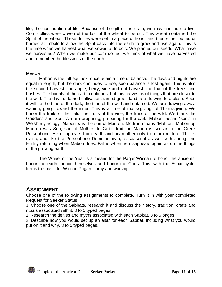life, the continuation of life. Because of the gift of the grain, we may continue to live. Corn dollies were woven of the last of the wheat to be cut. This wheat contained the Spirit of the wheat. These dollies were set in a place of honor and then either buried or burned at Imbolc to allow the Spirit back into the earth to grow and rise again. This is the time when we harvest what we sowed at Imbolc. We planted our seeds. What have we harvested? When we make our corn dollies, we think of what we have harvested and remember the blessings of the earth.

#### **MABON**

Mabon is the fall equinox, once again a time of balance. The days and nights are equal in length, but the dark continues to rise, soon balance is lost again. This is also the second harvest, the apple, berry, vine and nut harvest, the fruit of the trees and bushes. The bounty of the earth continues, but this harvest is of things that are closer to the wild. The days of tamed cultivation, tamed green land, are drawing to a close. Soon it will be the time of the dark, the time of the wild and untamed. We are drawing away, waning, going toward the inner. This is a time of thanksgiving, of Thanksgiving. We honor the fruits of the field, the fruits of the vine, the fruits of the wild. We thank the Goddess and God. We are preparing, preparing for the dark. Mabon means "son." In Welsh mythology, Mabon was the son of Modron. Modron means "Mother." Mabon ap Modron was Son, son of Mother. In Celtic tradition Mabon is similar to the Greek Persephone. He disappears from earth and his mother only to return mature. This is cyclic, and like the Persephone Demeter myth, is seasonal as well with spring and fertility returning when Mabon does. Fall is when he disappears again as do the things of the growing earth.

The Wheel of the Year is a means for the Pagan/Wiccan to honor the ancients, honor the earth, honor themselves and honor the Gods. This, with the Esbat cycle, forms the basis for Wiccan/Pagan liturgy and worship.

# **ASSIGNMENT**

Choose one of the following assignments to complete. Turn it in with your completed Request for Seeker Status.

1. Choose one of the Sabbats, research it and discuss the history, tradition, crafts and rituals associated with it. 3 to 5 typed pages.

2. Research the deities and myths associated with each Sabbat. 3 to 5 pages.

3. Describe how you would set up an altar for each Sabbat, including what you would put on it and why. 3 to 5 typed pages.

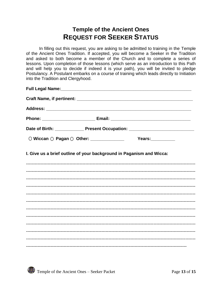# **Temple of the Ancient Ones REQUEST FOR SEEKER STATUS**

In filling out this request, you are asking to be admitted to training in the Temple of the Ancient Ones Tradition. If accepted, you will become a Seeker in the Tradition and asked to both become a member of the Church and to complete a series of lessons. Upon completion of those lessons (which serve as an introduction to this Path and will help you to decide if indeed it is your path), you will be invited to pledge Postulancy. A Postulant embarks on a course of training which leads directly to Initiation into the Tradition and Clergyhood.

| I. Give us a brief outline of your background in Paganism and Wicca: |  |  |
|----------------------------------------------------------------------|--|--|
|                                                                      |  |  |
|                                                                      |  |  |
|                                                                      |  |  |
|                                                                      |  |  |
|                                                                      |  |  |
|                                                                      |  |  |
|                                                                      |  |  |
|                                                                      |  |  |
|                                                                      |  |  |
|                                                                      |  |  |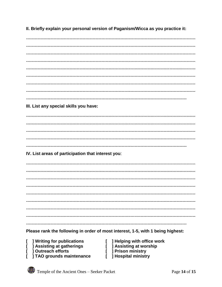II. Briefly explain your personal version of Paganism/Wicca as you practice it:

III. List any special skills you have: IV. List areas of participation that interest you:

Please rank the following in order of most interest, 1-5, with 1 being highest:

- Writing for publications L
- **J** Assisting at gatherings ſ
- ] Outreach efforts
- **TAO** grounds maintenance L
- [ ] Helping with office work [ ] Assisting at worship [ ] Prison ministry [ ] Hospital ministry